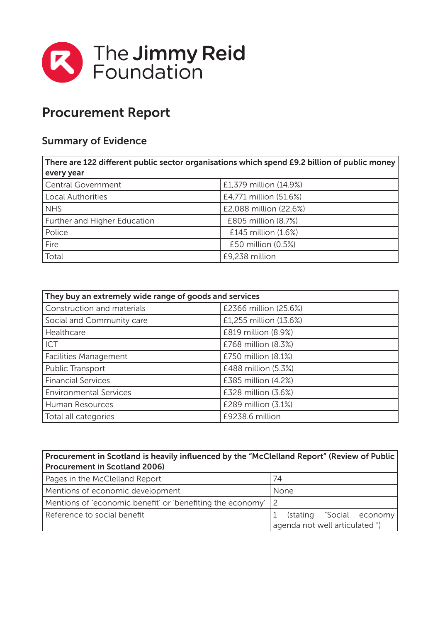

## Procurement Report

## Summary of Evidence

| There are 122 different public sector organisations which spend £9.2 billion of public money |                        |  |
|----------------------------------------------------------------------------------------------|------------------------|--|
| every year                                                                                   |                        |  |
| Central Government                                                                           | £1,379 million (14.9%) |  |
| <b>Local Authorities</b>                                                                     | £4,771 million (51.6%) |  |
| <b>NHS</b>                                                                                   | £2,088 million (22.6%) |  |
| Further and Higher Education                                                                 | £805 million (8.7%)    |  |
| Police                                                                                       | £145 million (1.6%)    |  |
| Fire                                                                                         | £50 million (0.5%)     |  |
| Total                                                                                        | £9,238 million         |  |

| They buy an extremely wide range of goods and services |                        |  |
|--------------------------------------------------------|------------------------|--|
| Construction and materials                             | £2366 million (25.6%)  |  |
| Social and Community care                              | £1,255 million (13.6%) |  |
| Healthcare                                             | £819 million (8.9%)    |  |
| ICT                                                    | £768 million (8.3%)    |  |
| <b>Facilities Management</b>                           | £750 million (8.1%)    |  |
| Public Transport                                       | £488 million (5.3%)    |  |
| <b>Financial Services</b>                              | £385 million (4.2%)    |  |
| <b>Environmental Services</b>                          | £328 million (3.6%)    |  |
| Human Resources                                        | £289 million (3.1%)    |  |
| Total all categories                                   | £9238.6 million        |  |

## Procurement in Scotland is heavily influenced by the "McClelland Report" (Review of Public Procurement in Scotland 2006)

| Pages in the McClelland Report                               | 74                               |
|--------------------------------------------------------------|----------------------------------|
| Mentions of economic development                             | None                             |
| Mentions of 'economic benefit' or 'benefiting the economy' 2 |                                  |
| Reference to social benefit                                  | (stating "Social economy         |
|                                                              | l agenda not well articulated ") |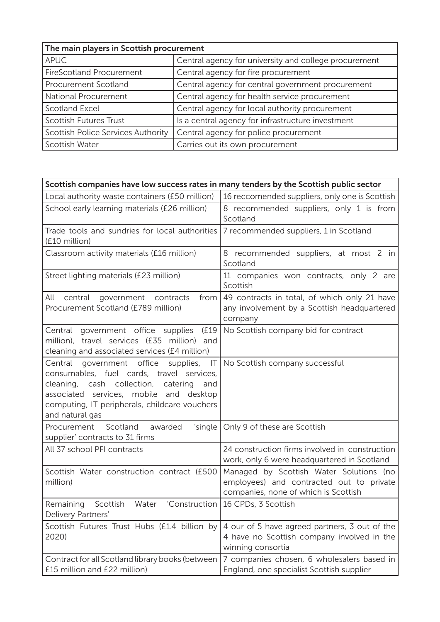| The main players in Scottish procurement  |                                                       |  |
|-------------------------------------------|-------------------------------------------------------|--|
| <b>APUC</b>                               | Central agency for university and college procurement |  |
| <b>FireScotland Procurement</b>           | Central agency for fire procurement                   |  |
| Procurement Scotland                      | Central agency for central government procurement     |  |
| National Procurement                      | Central agency for health service procurement         |  |
| <b>Scotland Excel</b>                     | Central agency for local authority procurement        |  |
| <b>Scottish Futures Trust</b>             | Is a central agency for infrastructure investment     |  |
| <b>Scottish Police Services Authority</b> | Central agency for police procurement                 |  |
| Scottish Water                            | Carries out its own procurement                       |  |

| Scottish companies have low success rates in many tenders by the Scottish public sector                                                                                                                                                                                                 |                                                                                                                             |  |
|-----------------------------------------------------------------------------------------------------------------------------------------------------------------------------------------------------------------------------------------------------------------------------------------|-----------------------------------------------------------------------------------------------------------------------------|--|
| Local authority waste containers (£50 million)                                                                                                                                                                                                                                          | 16 reccomended suppliers, only one is Scottish                                                                              |  |
| School early learning materials (£26 million)                                                                                                                                                                                                                                           | 8 recommended suppliers, only 1 is from<br>Scotland                                                                         |  |
| Trade tools and sundries for local authorities<br>(£10 million)                                                                                                                                                                                                                         | 7 recommended suppliers, 1 in Scotland                                                                                      |  |
| Classroom activity materials (£16 million)                                                                                                                                                                                                                                              | 8 recommended suppliers, at most 2 in<br>Scotland                                                                           |  |
| Street lighting materials (£23 million)                                                                                                                                                                                                                                                 | 11 companies won contracts, only 2 are<br>Scottish                                                                          |  |
| All<br>from<br>central government contracts<br>Procurement Scotland (£789 million)                                                                                                                                                                                                      | 49 contracts in total, of which only 21 have<br>any involvement by a Scottish headquartered<br>company                      |  |
| (£19<br>Central government office supplies<br>million), travel services (£35 million) and<br>cleaning and associated services (£4 million)                                                                                                                                              | No Scottish company bid for contract                                                                                        |  |
| Central<br>government office supplies, IT   No Scottish company successful<br>consumables, fuel cards, travel services,<br>cleaning, cash collection,<br>catering<br>and<br>associated services, mobile and desktop<br>computing, IT peripherals, childcare vouchers<br>and natural gas |                                                                                                                             |  |
| 'single  <br>Scotland<br>awarded<br>Procurement<br>supplier' contracts to 31 firms                                                                                                                                                                                                      | Only 9 of these are Scottish                                                                                                |  |
| All 37 school PFI contracts                                                                                                                                                                                                                                                             | 24 construction firms involved in construction<br>work, only 6 were headquartered in Scotland                               |  |
| Scottish Water construction contract (£500<br>million)                                                                                                                                                                                                                                  | Managed by Scottish Water Solutions (no<br>employees) and contracted out to private<br>companies, none of which is Scottish |  |
| Remaining<br>Scottish<br>Water<br>'Construction  <br>Delivery Partners'                                                                                                                                                                                                                 | 16 CPDs, 3 Scottish                                                                                                         |  |
| Scottish Futures Trust Hubs (£1.4 billion by<br>2020)                                                                                                                                                                                                                                   | 4 our of 5 have agreed partners, 3 out of the<br>4 have no Scottish company involved in the<br>winning consortia            |  |
| Contract for all Scotland library books (between<br>£15 million and £22 million)                                                                                                                                                                                                        | 7 companies chosen, 6 wholesalers based in<br>England, one specialist Scottish supplier                                     |  |